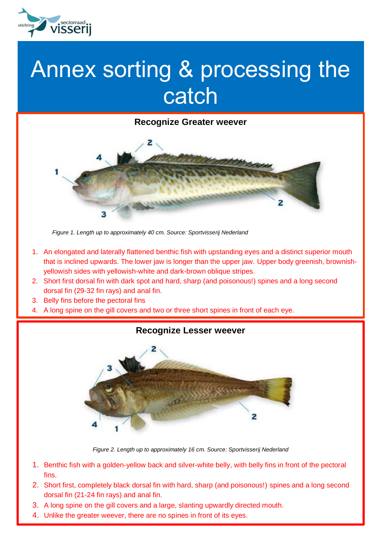

## Annex sorting & processing the catch



*Figure 1. Length up to approximately 40 cm. Source: Sportvisserij Nederland*

- 1. An elongated and laterally flattened benthic fish with upstanding eyes and a distinct superior mouth that is inclined upwards. The lower jaw is longer than the upper jaw. Upper body greenish, brownishyellowish sides with yellowish-white and dark-brown oblique stripes.
- 2. Short first dorsal fin with dark spot and hard, sharp (and poisonous!) spines and a long second dorsal fin (29-32 fin rays) and anal fin.
- 3. Belly fins before the pectoral fins
- 4. A long spine on the gill covers and two or three short spines in front of each eye.



*Figure 2. Length up to approximately 16 cm. Source: Sportvisserij Nederland*

- 1. Benthic fish with a golden-yellow back and silver-white belly, with belly fins in front of the pectoral fins.
- 2. Short first, completely black dorsal fin with hard, sharp (and poisonous!) spines and a long second dorsal fin (21-24 fin rays) and anal fin.
- 3. A long spine on the gill covers and a large, slanting upwardly directed mouth.
- 4. Unlike the greater weever, there are no spines in front of its eyes.